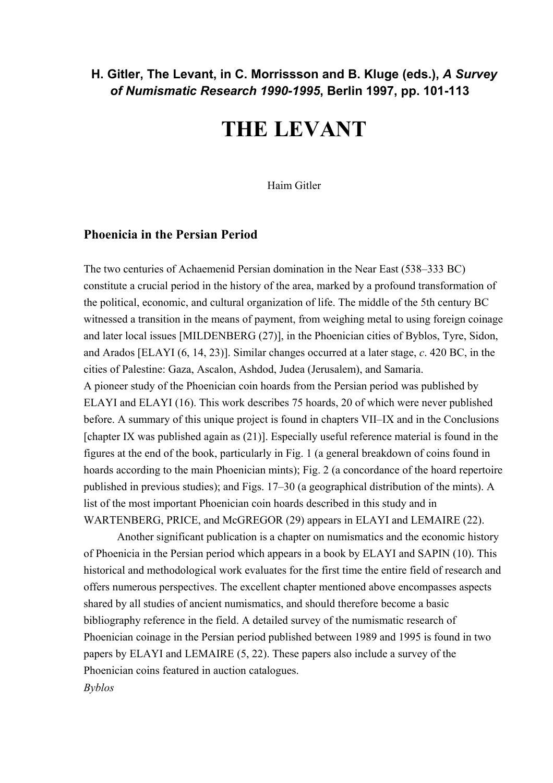# **H. Gitler, The Levant, in C. Morrissson and B. Kluge (eds.),** *A Survey of Numismatic Research 1990-1995***, Berlin 1997, pp. 101-113**

# **THE LEVANT**

Haim Gitler

## **Phoenicia in the Persian Period**

The two centuries of Achaemenid Persian domination in the Near East (538–333 BC) constitute a crucial period in the history of the area, marked by a profound transformation of the political, economic, and cultural organization of life. The middle of the 5th century BC witnessed a transition in the means of payment, from weighing metal to using foreign coinage and later local issues [MILDENBERG (27)], in the Phoenician cities of Byblos, Tyre, Sidon, and Arados [ELAYI (6, 14, 23)]. Similar changes occurred at a later stage, *c*. 420 BC, in the cities of Palestine: Gaza, Ascalon, Ashdod, Judea (Jerusalem), and Samaria. A pioneer study of the Phoenician coin hoards from the Persian period was published by ELAYI and ELAYI (16). This work describes 75 hoards, 20 of which were never published before. A summary of this unique project is found in chapters VII–IX and in the Conclusions [chapter IX was published again as (21)]. Especially useful reference material is found in the figures at the end of the book, particularly in Fig. 1 (a general breakdown of coins found in hoards according to the main Phoenician mints); Fig. 2 (a concordance of the hoard repertoire published in previous studies); and Figs. 17–30 (a geographical distribution of the mints). A list of the most important Phoenician coin hoards described in this study and in WARTENBERG, PRICE, and McGREGOR (29) appears in ELAYI and LEMAIRE (22).

 Another significant publication is a chapter on numismatics and the economic history of Phoenicia in the Persian period which appears in a book by ELAYI and SAPIN (10). This historical and methodological work evaluates for the first time the entire field of research and offers numerous perspectives. The excellent chapter mentioned above encompasses aspects shared by all studies of ancient numismatics, and should therefore become a basic bibliography reference in the field. A detailed survey of the numismatic research of Phoenician coinage in the Persian period published between 1989 and 1995 is found in two papers by ELAYI and LEMAIRE (5, 22). These papers also include a survey of the Phoenician coins featured in auction catalogues. *Byblos*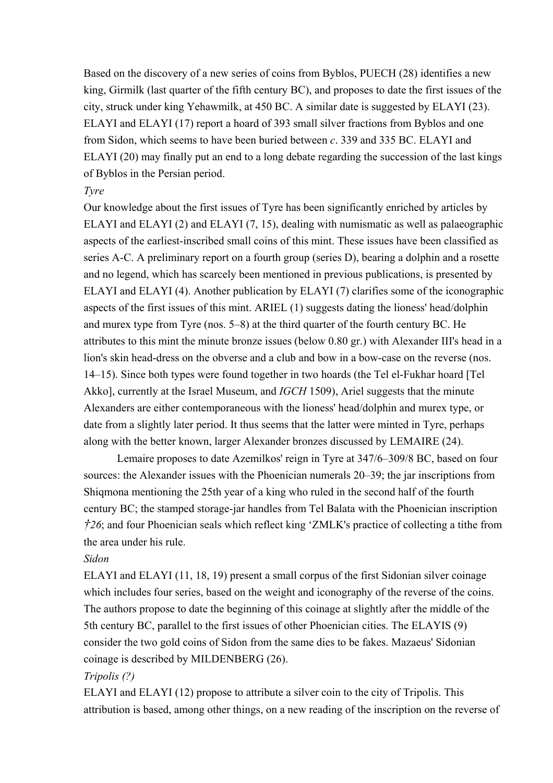Based on the discovery of a new series of coins from Byblos, PUECH (28) identifies a new king, Girmilk (last quarter of the fifth century BC), and proposes to date the first issues of the city, struck under king Yehawmilk, at 450 BC. A similar date is suggested by ELAYI (23). ELAYI and ELAYI (17) report a hoard of 393 small silver fractions from Byblos and one from Sidon, which seems to have been buried between *c*. 339 and 335 BC. ELAYI and ELAYI (20) may finally put an end to a long debate regarding the succession of the last kings of Byblos in the Persian period.

#### *Tyre*

Our knowledge about the first issues of Tyre has been significantly enriched by articles by ELAYI and ELAYI (2) and ELAYI (7, 15), dealing with numismatic as well as palaeographic aspects of the earliest-inscribed small coins of this mint. These issues have been classified as series A-C. A preliminary report on a fourth group (series D), bearing a dolphin and a rosette and no legend, which has scarcely been mentioned in previous publications, is presented by ELAYI and ELAYI (4). Another publication by ELAYI (7) clarifies some of the iconographic aspects of the first issues of this mint. ARIEL (1) suggests dating the lioness' head/dolphin and murex type from Tyre (nos. 5–8) at the third quarter of the fourth century BC. He attributes to this mint the minute bronze issues (below 0.80 gr.) with Alexander III's head in a lion's skin head-dress on the obverse and a club and bow in a bow-case on the reverse (nos. 14–15). Since both types were found together in two hoards (the Tel el-Fukhar hoard [Tel Akko], currently at the Israel Museum, and *IGCH* 1509), Ariel suggests that the minute Alexanders are either contemporaneous with the lioness' head/dolphin and murex type, or date from a slightly later period. It thus seems that the latter were minted in Tyre, perhaps along with the better known, larger Alexander bronzes discussed by LEMAIRE (24).

 Lemaire proposes to date Azemilkos' reign in Tyre at 347/6–309/8 BC, based on four sources: the Alexander issues with the Phoenician numerals 20–39; the jar inscriptions from Shiqmona mentioning the 25th year of a king who ruled in the second half of the fourth century BC; the stamped storage-jar handles from Tel Balata with the Phoenician inscription *†26*; and four Phoenician seals which reflect king 'ZMLK's practice of collecting a tithe from the area under his rule.

#### *Sidon*

ELAYI and ELAYI (11, 18, 19) present a small corpus of the first Sidonian silver coinage which includes four series, based on the weight and iconography of the reverse of the coins. The authors propose to date the beginning of this coinage at slightly after the middle of the 5th century BC, parallel to the first issues of other Phoenician cities. The ELAYIS (9) consider the two gold coins of Sidon from the same dies to be fakes. Mazaeus' Sidonian coinage is described by MILDENBERG (26).

#### *Tripolis (?)*

ELAYI and ELAYI (12) propose to attribute a silver coin to the city of Tripolis. This attribution is based, among other things, on a new reading of the inscription on the reverse of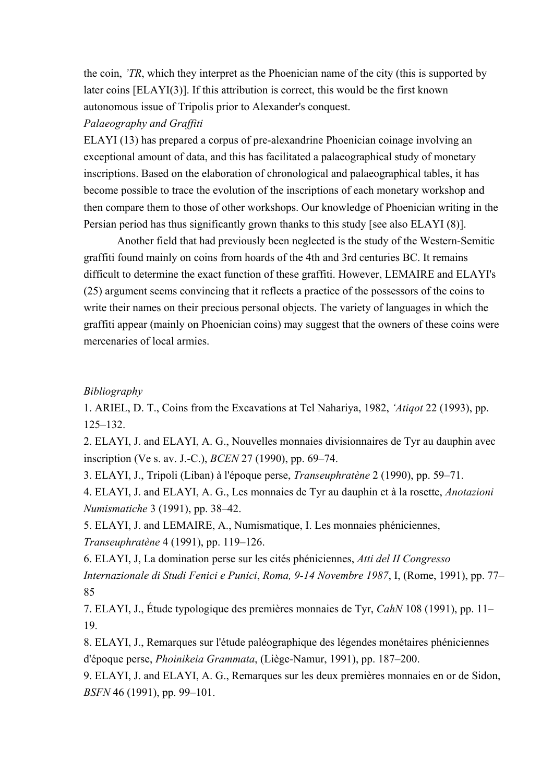the coin, *'TR*, which they interpret as the Phoenician name of the city (this is supported by later coins [ELAYI(3)]. If this attribution is correct, this would be the first known autonomous issue of Tripolis prior to Alexander's conquest.

#### *Palaeography and Graffiti*

ELAYI (13) has prepared a corpus of pre-alexandrine Phoenician coinage involving an exceptional amount of data, and this has facilitated a palaeographical study of monetary inscriptions. Based on the elaboration of chronological and palaeographical tables, it has become possible to trace the evolution of the inscriptions of each monetary workshop and then compare them to those of other workshops. Our knowledge of Phoenician writing in the Persian period has thus significantly grown thanks to this study [see also ELAYI (8)].

 Another field that had previously been neglected is the study of the Western-Semitic graffiti found mainly on coins from hoards of the 4th and 3rd centuries BC. It remains difficult to determine the exact function of these graffiti. However, LEMAIRE and ELAYI's (25) argument seems convincing that it reflects a practice of the possessors of the coins to write their names on their precious personal objects. The variety of languages in which the graffiti appear (mainly on Phoenician coins) may suggest that the owners of these coins were mercenaries of local armies.

#### *Bibliography*

1. ARIEL, D. T., Coins from the Excavations at Tel Nahariya, 1982, *'Atiqot* 22 (1993), pp. 125–132.

2. ELAYI, J. and ELAYI, A. G., Nouvelles monnaies divisionnaires de Tyr au dauphin avec inscription (Ve s. av. J.-C.), *BCEN* 27 (1990), pp. 69–74.

3. ELAYI, J., Tripoli (Liban) à l'époque perse, *Transeuphratène* 2 (1990), pp. 59–71.

4. ELAYI, J. and ELAYI, A. G., Les monnaies de Tyr au dauphin et à la rosette, *Anotazioni Numismatiche* 3 (1991), pp. 38–42.

5. ELAYI, J. and LEMAIRE, A., Numismatique, I. Les monnaies phéniciennes, *Transeuphratène* 4 (1991), pp. 119–126.

6. ELAYI, J, La domination perse sur les cités phéniciennes, *Atti del II Congresso Internazionale di Studi Fenici e Punici*, *Roma, 9-14 Novembre 1987*, I, (Rome, 1991), pp. 77– 85

7. ELAYI, J., Étude typologique des premières monnaies de Tyr, *CahN* 108 (1991), pp. 11– 19.

8. ELAYI, J., Remarques sur l'étude paléographique des légendes monétaires phéniciennes d'époque perse, *Phoinikeia Grammata*, (Liège-Namur, 1991), pp. 187–200.

9. ELAYI, J. and ELAYI, A. G., Remarques sur les deux premières monnaies en or de Sidon, *BSFN* 46 (1991), pp. 99–101.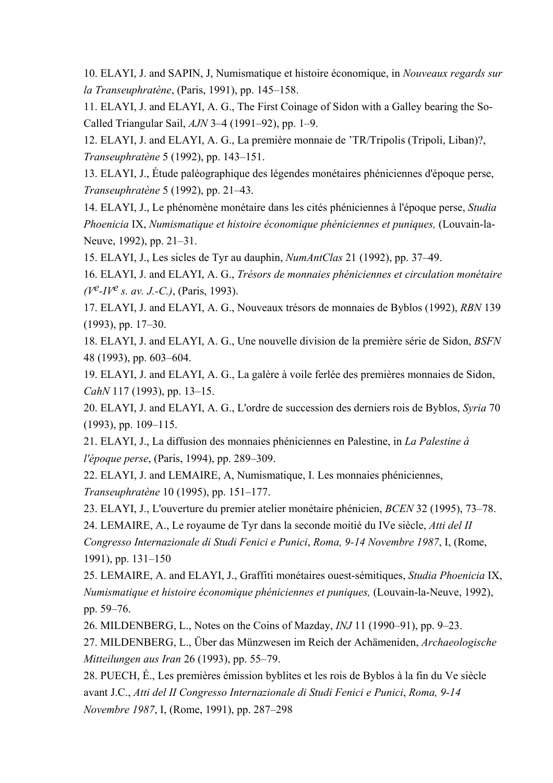10. ELAYI, J. and SAPIN, J, Numismatique et histoire économique, in *Nouveaux regards sur la Transeuphratène*, (Paris, 1991), pp. 145–158.

11. ELAYI, J. and ELAYI, A. G., The First Coinage of Sidon with a Galley bearing the So-Called Triangular Sail, *AJN* 3–4 (1991–92), pp. 1–9.

12. ELAYI, J. and ELAYI, A. G., La première monnaie de 'TR/Tripolis (Tripoli, Liban)?, *Transeuphratène* 5 (1992), pp. 143–151.

13. ELAYI, J., Étude paléographique des légendes monétaires phéniciennes d'époque perse, *Transeuphratène* 5 (1992), pp. 21–43.

14. ELAYI, J., Le phénomène monétaire dans les cités phéniciennes à l'époque perse, *Studia Phoenicia* IX, *Numismatique et histoire économique phéniciennes et puniques,* (Louvain-la-Neuve, 1992), pp. 21–31.

15. ELAYI, J., Les sicles de Tyr au dauphin, *NumAntClas* 21 (1992), pp. 37–49.

16. ELAYI, J. and ELAYI, A. G., *Trésors de monnaies phéniciennes et circulation monétaire (Ve-IVe s. av. J.-C.)*, (Paris, 1993).

17. ELAYI, J. and ELAYI, A. G., Nouveaux trésors de monnaies de Byblos (1992), *RBN* 139 (1993), pp. 17–30.

18. ELAYI, J. and ELAYI, A. G., Une nouvelle division de la première série de Sidon, *BSFN* 48 (1993), pp. 603–604.

19. ELAYI, J. and ELAYI, A. G., La galère à voile ferlée des premières monnaies de Sidon, *CahN* 117 (1993), pp. 13–15.

20. ELAYI, J. and ELAYI, A. G., L'ordre de succession des derniers rois de Byblos, *Syria* 70 (1993), pp. 109–115.

21. ELAYI, J., La diffusion des monnaies phéniciennes en Palestine, in *La Palestine à l'époque perse*, (Paris, 1994), pp. 289–309.

22. ELAYI, J. and LEMAIRE, A, Numismatique, I. Les monnaies phéniciennes, *Transeuphratène* 10 (1995), pp. 151–177.

23. ELAYI, J., L'ouverture du premier atelier monétaire phénicien, *BCEN* 32 (1995), 73–78.

24. LEMAIRE, A., Le royaume de Tyr dans la seconde moitié du IVe siècle, *Atti del II Congresso Internazionale di Studi Fenici e Punici*, *Roma, 9-14 Novembre 1987*, I, (Rome, 1991), pp. 131–150

25. LEMAIRE, A. and ELAYI, J., Graffiti monétaires ouest-sémitiques, *Studia Phoenicia* IX, *Numismatique et histoire économique phéniciennes et puniques,* (Louvain-la-Neuve, 1992), pp. 59–76.

26. MILDENBERG, L., Notes on the Coins of Mazday, *INJ* 11 (1990–91), pp. 9–23.

27. MILDENBERG, L., Über das Münzwesen im Reich der Achämeniden, *Archaeologische Mitteilungen aus Iran* 26 (1993), pp. 55–79.

28. PUECH, É., Les premières émission byblites et les rois de Byblos à la fin du Ve siècle avant J.C., *Atti del II Congresso Internazionale di Studi Fenici e Punici*, *Roma, 9-14 Novembre 1987*, I, (Rome, 1991), pp. 287–298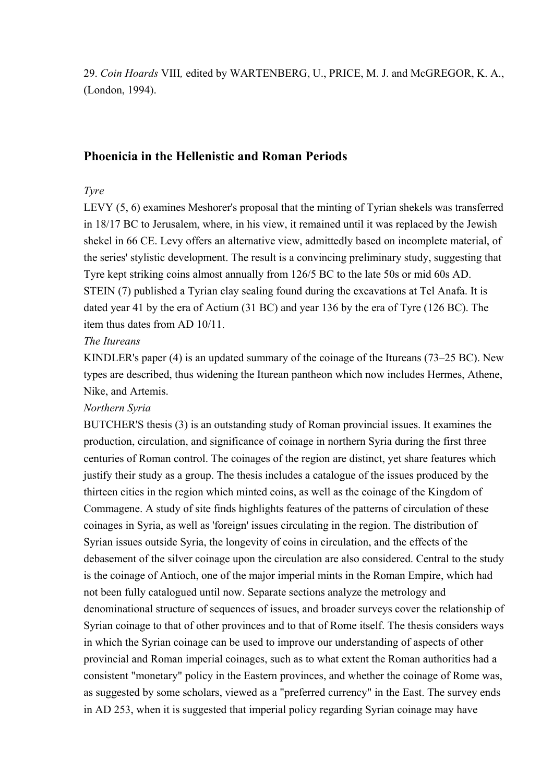29. *Coin Hoards* VIII*,* edited by WARTENBERG, U., PRICE, M. J. and McGREGOR, K. A., (London, 1994).

## **Phoenicia in the Hellenistic and Roman Periods**

#### *Tyre*

LEVY (5, 6) examines Meshorer's proposal that the minting of Tyrian shekels was transferred in 18/17 BC to Jerusalem, where, in his view, it remained until it was replaced by the Jewish shekel in 66 CE. Levy offers an alternative view, admittedly based on incomplete material, of the series' stylistic development. The result is a convincing preliminary study, suggesting that Tyre kept striking coins almost annually from 126/5 BC to the late 50s or mid 60s AD. STEIN (7) published a Tyrian clay sealing found during the excavations at Tel Anafa. It is dated year 41 by the era of Actium (31 BC) and year 136 by the era of Tyre (126 BC). The item thus dates from AD 10/11.

## *The Itureans*

KINDLER's paper (4) is an updated summary of the coinage of the Itureans (73–25 BC). New types are described, thus widening the Iturean pantheon which now includes Hermes, Athene, Nike, and Artemis.

#### *Northern Syria*

BUTCHER'S thesis (3) is an outstanding study of Roman provincial issues. It examines the production, circulation, and significance of coinage in northern Syria during the first three centuries of Roman control. The coinages of the region are distinct, yet share features which justify their study as a group. The thesis includes a catalogue of the issues produced by the thirteen cities in the region which minted coins, as well as the coinage of the Kingdom of Commagene. A study of site finds highlights features of the patterns of circulation of these coinages in Syria, as well as 'foreign' issues circulating in the region. The distribution of Syrian issues outside Syria, the longevity of coins in circulation, and the effects of the debasement of the silver coinage upon the circulation are also considered. Central to the study is the coinage of Antioch, one of the major imperial mints in the Roman Empire, which had not been fully catalogued until now. Separate sections analyze the metrology and denominational structure of sequences of issues, and broader surveys cover the relationship of Syrian coinage to that of other provinces and to that of Rome itself. The thesis considers ways in which the Syrian coinage can be used to improve our understanding of aspects of other provincial and Roman imperial coinages, such as to what extent the Roman authorities had a consistent "monetary" policy in the Eastern provinces, and whether the coinage of Rome was, as suggested by some scholars, viewed as a "preferred currency" in the East. The survey ends in AD 253, when it is suggested that imperial policy regarding Syrian coinage may have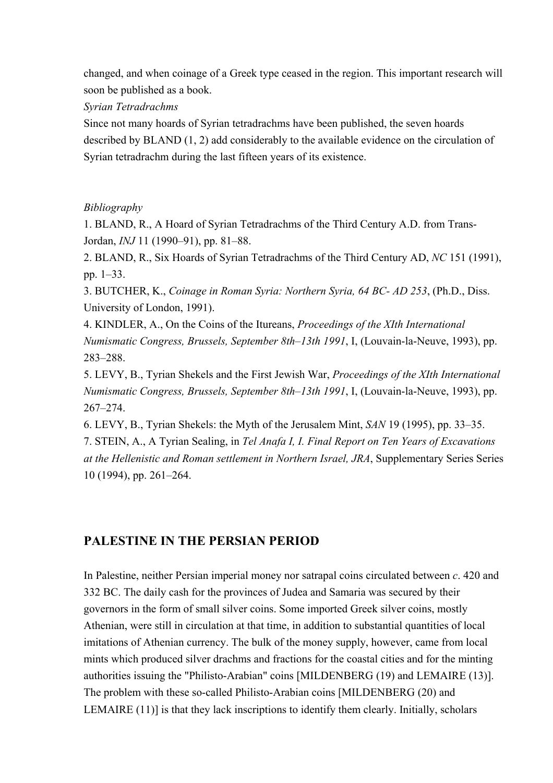changed, and when coinage of a Greek type ceased in the region. This important research will soon be published as a book.

*Syrian Tetradrachms* 

Since not many hoards of Syrian tetradrachms have been published, the seven hoards described by BLAND (1, 2) add considerably to the available evidence on the circulation of Syrian tetradrachm during the last fifteen years of its existence.

## *Bibliography*

1. BLAND, R., A Hoard of Syrian Tetradrachms of the Third Century A.D. from Trans-Jordan, *INJ* 11 (1990–91), pp. 81–88.

2. BLAND, R., Six Hoards of Syrian Tetradrachms of the Third Century AD, *NC* 151 (1991), pp. 1–33.

3. BUTCHER, K., *Coinage in Roman Syria: Northern Syria, 64 BC- AD 253*, (Ph.D., Diss. University of London, 1991).

4. KINDLER, A., On the Coins of the Itureans, *Proceedings of the XIth International Numismatic Congress, Brussels, September 8th–13th 1991*, I, (Louvain-la-Neuve, 1993), pp. 283–288.

5. LEVY, B., Tyrian Shekels and the First Jewish War, *Proceedings of the XIth International Numismatic Congress, Brussels, September 8th–13th 1991*, I, (Louvain-la-Neuve, 1993), pp. 267–274.

6. LEVY, B., Tyrian Shekels: the Myth of the Jerusalem Mint, *SAN* 19 (1995), pp. 33–35.

7. STEIN, A., A Tyrian Sealing, in *Tel Anafa I, I. Final Report on Ten Years of Excavations at the Hellenistic and Roman settlement in Northern Israel, JRA*, Supplementary Series Series 10 (1994), pp. 261–264.

# **PALESTINE IN THE PERSIAN PERIOD**

In Palestine, neither Persian imperial money nor satrapal coins circulated between *c*. 420 and 332 BC. The daily cash for the provinces of Judea and Samaria was secured by their governors in the form of small silver coins. Some imported Greek silver coins, mostly Athenian, were still in circulation at that time, in addition to substantial quantities of local imitations of Athenian currency. The bulk of the money supply, however, came from local mints which produced silver drachms and fractions for the coastal cities and for the minting authorities issuing the "Philisto-Arabian" coins [MILDENBERG (19) and LEMAIRE (13)]. The problem with these so-called Philisto-Arabian coins [MILDENBERG (20) and LEMAIRE (11)] is that they lack inscriptions to identify them clearly. Initially, scholars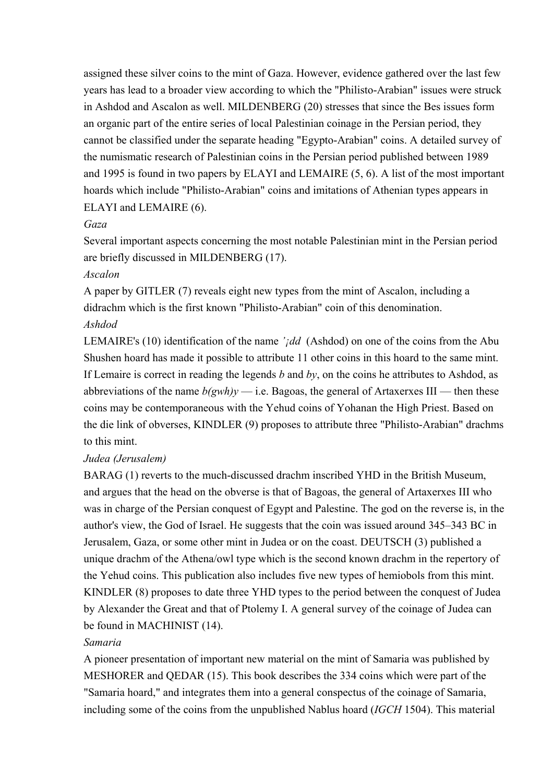assigned these silver coins to the mint of Gaza. However, evidence gathered over the last few years has lead to a broader view according to which the "Philisto-Arabian" issues were struck in Ashdod and Ascalon as well. MILDENBERG (20) stresses that since the Bes issues form an organic part of the entire series of local Palestinian coinage in the Persian period, they cannot be classified under the separate heading "Egypto-Arabian" coins. A detailed survey of the numismatic research of Palestinian coins in the Persian period published between 1989 and 1995 is found in two papers by ELAYI and LEMAIRE (5, 6). A list of the most important hoards which include "Philisto-Arabian" coins and imitations of Athenian types appears in ELAYI and LEMAIRE (6).

#### *Gaza*

Several important aspects concerning the most notable Palestinian mint in the Persian period are briefly discussed in MILDENBERG (17).

## *Ascalon*

A paper by GITLER (7) reveals eight new types from the mint of Ascalon, including a didrachm which is the first known "Philisto-Arabian" coin of this denomination. *Ashdod* 

LEMAIRE's (10) identification of the name *'<sub>j</sub>dd* (Ashdod) on one of the coins from the Abu Shushen hoard has made it possible to attribute 11 other coins in this hoard to the same mint. If Lemaire is correct in reading the legends *b* and *by*, on the coins he attributes to Ashdod, as abbreviations of the name  $b(gwh)y$  — i.e. Bagoas, the general of Artaxerxes III — then these coins may be contemporaneous with the Yehud coins of Yohanan the High Priest. Based on the die link of obverses, KINDLER (9) proposes to attribute three "Philisto-Arabian" drachms to this mint.

## *Judea (Jerusalem)*

BARAG (1) reverts to the much-discussed drachm inscribed YHD in the British Museum, and argues that the head on the obverse is that of Bagoas, the general of Artaxerxes III who was in charge of the Persian conquest of Egypt and Palestine. The god on the reverse is, in the author's view, the God of Israel. He suggests that the coin was issued around 345–343 BC in Jerusalem, Gaza, or some other mint in Judea or on the coast. DEUTSCH (3) published a unique drachm of the Athena/owl type which is the second known drachm in the repertory of the Yehud coins. This publication also includes five new types of hemiobols from this mint. KINDLER (8) proposes to date three YHD types to the period between the conquest of Judea by Alexander the Great and that of Ptolemy I. A general survey of the coinage of Judea can be found in MACHINIST (14).

## *Samaria*

A pioneer presentation of important new material on the mint of Samaria was published by MESHORER and QEDAR (15). This book describes the 334 coins which were part of the "Samaria hoard," and integrates them into a general conspectus of the coinage of Samaria, including some of the coins from the unpublished Nablus hoard (*IGCH* 1504). This material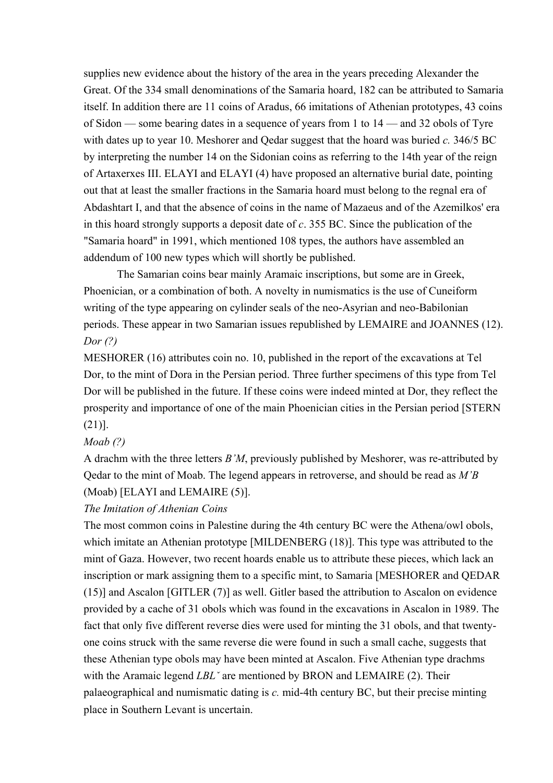supplies new evidence about the history of the area in the years preceding Alexander the Great. Of the 334 small denominations of the Samaria hoard, 182 can be attributed to Samaria itself. In addition there are 11 coins of Aradus, 66 imitations of Athenian prototypes, 43 coins of Sidon — some bearing dates in a sequence of years from 1 to 14 — and 32 obols of Tyre with dates up to year 10. Meshorer and Qedar suggest that the hoard was buried *c.* 346/5 BC by interpreting the number 14 on the Sidonian coins as referring to the 14th year of the reign of Artaxerxes III. ELAYI and ELAYI (4) have proposed an alternative burial date, pointing out that at least the smaller fractions in the Samaria hoard must belong to the regnal era of Abdashtart I, and that the absence of coins in the name of Mazaeus and of the Azemilkos' era in this hoard strongly supports a deposit date of *c*. 355 BC. Since the publication of the "Samaria hoard" in 1991, which mentioned 108 types, the authors have assembled an addendum of 100 new types which will shortly be published.

 The Samarian coins bear mainly Aramaic inscriptions, but some are in Greek, Phoenician, or a combination of both. A novelty in numismatics is the use of Cuneiform writing of the type appearing on cylinder seals of the neo-Asyrian and neo-Babilonian periods. These appear in two Samarian issues republished by LEMAIRE and JOANNES (12). *Dor (?)* 

MESHORER (16) attributes coin no. 10, published in the report of the excavations at Tel Dor, to the mint of Dora in the Persian period. Three further specimens of this type from Tel Dor will be published in the future. If these coins were indeed minted at Dor, they reflect the prosperity and importance of one of the main Phoenician cities in the Persian period [STERN (21)].

#### *Moab (?)*

A drachm with the three letters *B'M*, previously published by Meshorer, was re-attributed by Qedar to the mint of Moab. The legend appears in retroverse, and should be read as *M'B* (Moab) [ELAYI and LEMAIRE (5)].

#### *The Imitation of Athenian Coins*

The most common coins in Palestine during the 4th century BC were the Athena/owl obols, which imitate an Athenian prototype [MILDENBERG (18)]. This type was attributed to the mint of Gaza. However, two recent hoards enable us to attribute these pieces, which lack an inscription or mark assigning them to a specific mint, to Samaria [MESHORER and QEDAR (15)] and Ascalon [GITLER (7)] as well. Gitler based the attribution to Ascalon on evidence provided by a cache of 31 obols which was found in the excavations in Ascalon in 1989. The fact that only five different reverse dies were used for minting the 31 obols, and that twentyone coins struck with the same reverse die were found in such a small cache, suggests that these Athenian type obols may have been minted at Ascalon. Five Athenian type drachms with the Aramaic legend *LBL*<sup> $\cdot$ </sup> are mentioned by BRON and LEMAIRE (2). Their palaeographical and numismatic dating is *c.* mid-4th century BC, but their precise minting place in Southern Levant is uncertain.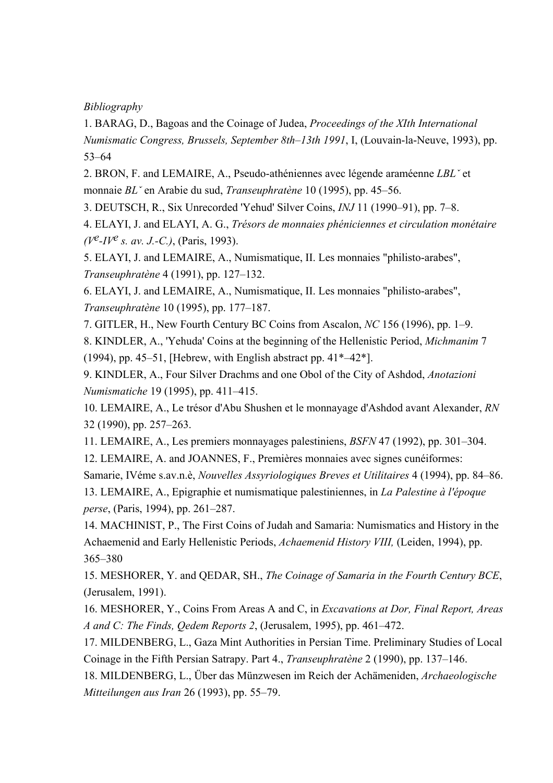## *Bibliography*

1. BARAG, D., Bagoas and the Coinage of Judea, *Proceedings of the XIth International Numismatic Congress, Brussels, September 8th–13th 1991*, I, (Louvain-la-Neuve, 1993), pp. 53–64

2. BRON, F. and LEMAIRE, A., Pseudo-athéniennes avec légende araméenne *LBLˇ* et monnaie *BLˇ* en Arabie du sud, *Transeuphratène* 10 (1995), pp. 45–56.

3. DEUTSCH, R., Six Unrecorded 'Yehud' Silver Coins, *INJ* 11 (1990–91), pp. 7–8.

4. ELAYI, J. and ELAYI, A. G., *Trésors de monnaies phéniciennes et circulation monétaire (Ve-IVe s. av. J.-C.)*, (Paris, 1993).

5. ELAYI, J. and LEMAIRE, A., Numismatique, II. Les monnaies "philisto-arabes", *Transeuphratène* 4 (1991), pp. 127–132.

6. ELAYI, J. and LEMAIRE, A., Numismatique, II. Les monnaies "philisto-arabes", *Transeuphratène* 10 (1995), pp. 177–187.

7. GITLER, H., New Fourth Century BC Coins from Ascalon, *NC* 156 (1996), pp. 1–9.

8. KINDLER, A., 'Yehuda' Coins at the beginning of the Hellenistic Period, *Michmanim* 7 (1994), pp. 45–51, [Hebrew, with English abstract pp.  $41^*$ –42<sup>\*</sup>].

9. KINDLER, A., Four Silver Drachms and one Obol of the City of Ashdod, *Anotazioni Numismatiche* 19 (1995), pp. 411–415.

10. LEMAIRE, A., Le trésor d'Abu Shushen et le monnayage d'Ashdod avant Alexander, *RN* 32 (1990), pp. 257–263.

11. LEMAIRE, A., Les premiers monnayages palestiniens, *BSFN* 47 (1992), pp. 301–304.

12. LEMAIRE, A. and JOANNES, F., Premières monnaies avec signes cunéiformes:

Samarie, IVéme s.av.n.è, *Nouvelles Assyriologiques Breves et Utilitaires* 4 (1994), pp. 84–86.

13. LEMAIRE, A., Epigraphie et numismatique palestiniennes, in *La Palestine à l'époque perse*, (Paris, 1994), pp. 261–287.

14. MACHINIST, P., The First Coins of Judah and Samaria: Numismatics and History in the Achaemenid and Early Hellenistic Periods, *Achaemenid History VIII,* (Leiden, 1994), pp. 365–380

15. MESHORER, Y. and QEDAR, SH., *The Coinage of Samaria in the Fourth Century BCE*, (Jerusalem, 1991).

16. MESHORER, Y., Coins From Areas A and C, in *Excavations at Dor, Final Report, Areas A and C: The Finds, Qedem Reports 2*, (Jerusalem, 1995), pp. 461–472.

17. MILDENBERG, L., Gaza Mint Authorities in Persian Time. Preliminary Studies of Local Coinage in the Fifth Persian Satrapy. Part 4., *Transeuphratène* 2 (1990), pp. 137–146.

18. MILDENBERG, L., Über das Münzwesen im Reich der Achämeniden, *Archaeologische Mitteilungen aus Iran* 26 (1993), pp. 55–79.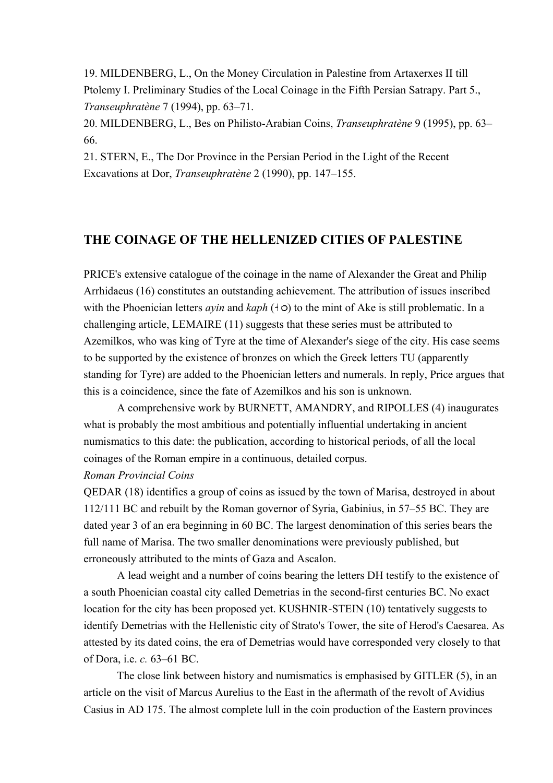19. MILDENBERG, L., On the Money Circulation in Palestine from Artaxerxes II till Ptolemy I. Preliminary Studies of the Local Coinage in the Fifth Persian Satrapy. Part 5., *Transeuphratène* 7 (1994), pp. 63–71.

20. MILDENBERG, L., Bes on Philisto-Arabian Coins, *Transeuphratène* 9 (1995), pp. 63– 66.

21. STERN, E., The Dor Province in the Persian Period in the Light of the Recent Excavations at Dor, *Transeuphratène* 2 (1990), pp. 147–155.

## **THE COINAGE OF THE HELLENIZED CITIES OF PALESTINE**

PRICE's extensive catalogue of the coinage in the name of Alexander the Great and Philip Arrhidaeus (16) constitutes an outstanding achievement. The attribution of issues inscribed with the Phoenician letters *ayin* and  $kaph$  ( $\uparrow$ o) to the mint of Ake is still problematic. In a challenging article, LEMAIRE (11) suggests that these series must be attributed to Azemilkos, who was king of Tyre at the time of Alexander's siege of the city. His case seems to be supported by the existence of bronzes on which the Greek letters TU (apparently standing for Tyre) are added to the Phoenician letters and numerals. In reply, Price argues that this is a coincidence, since the fate of Azemilkos and his son is unknown.

A comprehensive work by BURNETT, AMANDRY, and RIPOLLES (4) inaugurates what is probably the most ambitious and potentially influential undertaking in ancient numismatics to this date: the publication, according to historical periods, of all the local coinages of the Roman empire in a continuous, detailed corpus.

#### *Roman Provincial Coins*

QEDAR (18) identifies a group of coins as issued by the town of Marisa, destroyed in about 112/111 BC and rebuilt by the Roman governor of Syria, Gabinius, in 57–55 BC. They are dated year 3 of an era beginning in 60 BC. The largest denomination of this series bears the full name of Marisa. The two smaller denominations were previously published, but erroneously attributed to the mints of Gaza and Ascalon.

A lead weight and a number of coins bearing the letters DH testify to the existence of a south Phoenician coastal city called Demetrias in the second-first centuries BC. No exact location for the city has been proposed yet. KUSHNIR-STEIN (10) tentatively suggests to identify Demetrias with the Hellenistic city of Strato's Tower, the site of Herod's Caesarea. As attested by its dated coins, the era of Demetrias would have corresponded very closely to that of Dora, i.e. *c.* 63–61 BC.

The close link between history and numismatics is emphasised by GITLER (5), in an article on the visit of Marcus Aurelius to the East in the aftermath of the revolt of Avidius Casius in AD 175. The almost complete lull in the coin production of the Eastern provinces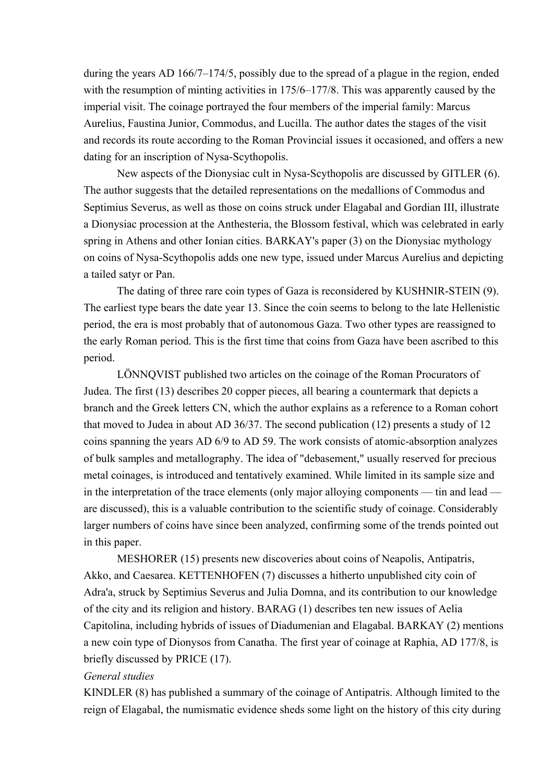during the years AD 166/7–174/5, possibly due to the spread of a plague in the region, ended with the resumption of minting activities in  $175/6 - 177/8$ . This was apparently caused by the imperial visit. The coinage portrayed the four members of the imperial family: Marcus Aurelius, Faustina Junior, Commodus, and Lucilla. The author dates the stages of the visit and records its route according to the Roman Provincial issues it occasioned, and offers a new dating for an inscription of Nysa-Scythopolis.

 New aspects of the Dionysiac cult in Nysa-Scythopolis are discussed by GITLER (6). The author suggests that the detailed representations on the medallions of Commodus and Septimius Severus, as well as those on coins struck under Elagabal and Gordian III, illustrate a Dionysiac procession at the Anthesteria, the Blossom festival, which was celebrated in early spring in Athens and other Ionian cities. BARKAY's paper (3) on the Dionysiac mythology on coins of Nysa-Scythopolis adds one new type, issued under Marcus Aurelius and depicting a tailed satyr or Pan.

 The dating of three rare coin types of Gaza is reconsidered by KUSHNIR-STEIN (9). The earliest type bears the date year 13. Since the coin seems to belong to the late Hellenistic period, the era is most probably that of autonomous Gaza. Two other types are reassigned to the early Roman period. This is the first time that coins from Gaza have been ascribed to this period.

 LÖNNQVIST published two articles on the coinage of the Roman Procurators of Judea. The first (13) describes 20 copper pieces, all bearing a countermark that depicts a branch and the Greek letters CN, which the author explains as a reference to a Roman cohort that moved to Judea in about AD 36/37. The second publication (12) presents a study of 12 coins spanning the years AD 6/9 to AD 59. The work consists of atomic-absorption analyzes of bulk samples and metallography. The idea of "debasement," usually reserved for precious metal coinages, is introduced and tentatively examined. While limited in its sample size and in the interpretation of the trace elements (only major alloying components — tin and lead are discussed), this is a valuable contribution to the scientific study of coinage. Considerably larger numbers of coins have since been analyzed, confirming some of the trends pointed out in this paper.

 MESHORER (15) presents new discoveries about coins of Neapolis, Antipatris, Akko, and Caesarea. KETTENHOFEN (7) discusses a hitherto unpublished city coin of Adra'a, struck by Septimius Severus and Julia Domna, and its contribution to our knowledge of the city and its religion and history. BARAG (1) describes ten new issues of Aelia Capitolina, including hybrids of issues of Diadumenian and Elagabal. BARKAY (2) mentions a new coin type of Dionysos from Canatha. The first year of coinage at Raphia, AD 177/8, is briefly discussed by PRICE (17).

#### *General studies*

KINDLER (8) has published a summary of the coinage of Antipatris. Although limited to the reign of Elagabal, the numismatic evidence sheds some light on the history of this city during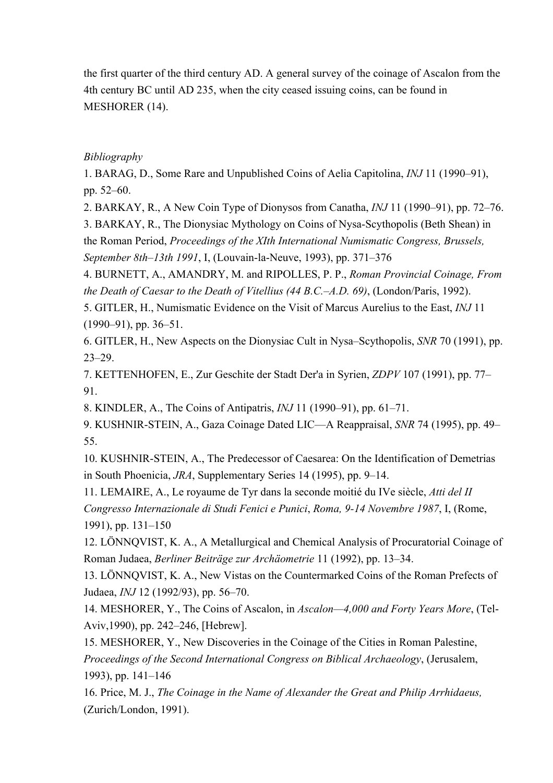the first quarter of the third century AD. A general survey of the coinage of Ascalon from the 4th century BC until AD 235, when the city ceased issuing coins, can be found in MESHORER (14).

## *Bibliography*

1. BARAG, D., Some Rare and Unpublished Coins of Aelia Capitolina, *INJ* 11 (1990–91), pp. 52–60.

2. BARKAY, R., A New Coin Type of Dionysos from Canatha, *INJ* 11 (1990–91), pp. 72–76.

3. BARKAY, R., The Dionysiac Mythology on Coins of Nysa-Scythopolis (Beth Shean) in the Roman Period, *Proceedings of the XIth International Numismatic Congress, Brussels, September 8th–13th 1991*, I, (Louvain-la-Neuve, 1993), pp. 371–376

4. BURNETT, A., AMANDRY, M. and RIPOLLES, P. P., *Roman Provincial Coinage, From the Death of Caesar to the Death of Vitellius (44 B.C.–A.D. 69)*, (London/Paris, 1992).

5. GITLER, H., Numismatic Evidence on the Visit of Marcus Aurelius to the East, *INJ* 11 (1990–91), pp. 36–51.

6. GITLER, H., New Aspects on the Dionysiac Cult in Nysa–Scythopolis, *SNR* 70 (1991), pp. 23–29.

7. KETTENHOFEN, E., Zur Geschite der Stadt Der'a in Syrien, *ZDPV* 107 (1991), pp. 77– 91.

8. KINDLER, A., The Coins of Antipatris, *INJ* 11 (1990–91), pp. 61–71.

9. KUSHNIR-STEIN, A., Gaza Coinage Dated LIC—A Reappraisal, *SNR* 74 (1995), pp. 49– 55.

10. KUSHNIR-STEIN, A., The Predecessor of Caesarea: On the Identification of Demetrias in South Phoenicia, *JRA*, Supplementary Series 14 (1995), pp. 9–14.

11. LEMAIRE, A., Le royaume de Tyr dans la seconde moitié du IVe siècle, *Atti del II Congresso Internazionale di Studi Fenici e Punici*, *Roma, 9-14 Novembre 1987*, I, (Rome, 1991), pp. 131–150

12. LÖNNQVIST, K. A., A Metallurgical and Chemical Analysis of Procuratorial Coinage of Roman Judaea, *Berliner Beiträge zur Archäometrie* 11 (1992), pp. 13–34.

13. LÖNNQVIST, K. A., New Vistas on the Countermarked Coins of the Roman Prefects of Judaea, *INJ* 12 (1992/93), pp. 56–70.

14. MESHORER, Y., The Coins of Ascalon, in *Ascalon—4,000 and Forty Years More*, (Tel-Aviv,1990), pp. 242–246, [Hebrew].

15. MESHORER, Y., New Discoveries in the Coinage of the Cities in Roman Palestine, *Proceedings of the Second International Congress on Biblical Archaeology*, (Jerusalem, 1993), pp. 141–146

16. Price, M. J., *The Coinage in the Name of Alexander the Great and Philip Arrhidaeus,*  (Zurich/London, 1991).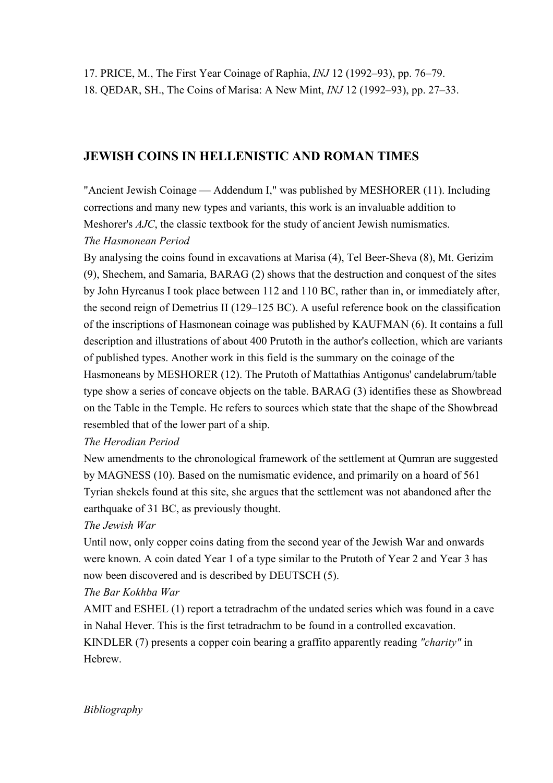# **JEWISH COINS IN HELLENISTIC AND ROMAN TIMES**

"Ancient Jewish Coinage — Addendum I," was published by MESHORER (11). Including corrections and many new types and variants, this work is an invaluable addition to Meshorer's *AJC*, the classic textbook for the study of ancient Jewish numismatics. *The Hasmonean Period*

By analysing the coins found in excavations at Marisa (4), Tel Beer-Sheva (8), Mt. Gerizim (9), Shechem, and Samaria, BARAG (2) shows that the destruction and conquest of the sites by John Hyrcanus I took place between 112 and 110 BC, rather than in, or immediately after, the second reign of Demetrius II (129–125 BC). A useful reference book on the classification of the inscriptions of Hasmonean coinage was published by KAUFMAN (6). It contains a full description and illustrations of about 400 Prutoth in the author's collection, which are variants of published types. Another work in this field is the summary on the coinage of the Hasmoneans by MESHORER (12). The Prutoth of Mattathias Antigonus' candelabrum/table type show a series of concave objects on the table. BARAG (3) identifies these as Showbread on the Table in the Temple. He refers to sources which state that the shape of the Showbread resembled that of the lower part of a ship.

## *The Herodian Period*

New amendments to the chronological framework of the settlement at Qumran are suggested by MAGNESS (10). Based on the numismatic evidence, and primarily on a hoard of 561 Tyrian shekels found at this site, she argues that the settlement was not abandoned after the earthquake of 31 BC, as previously thought.

# *The Jewish War*

Until now, only copper coins dating from the second year of the Jewish War and onwards were known. A coin dated Year 1 of a type similar to the Prutoth of Year 2 and Year 3 has now been discovered and is described by DEUTSCH (5).

# *The Bar Kokhba War*

AMIT and ESHEL (1) report a tetradrachm of the undated series which was found in a cave in Nahal Hever. This is the first tetradrachm to be found in a controlled excavation. KINDLER (7) presents a copper coin bearing a graffito apparently reading *"charity"* in **Hebrew** 

*Bibliography*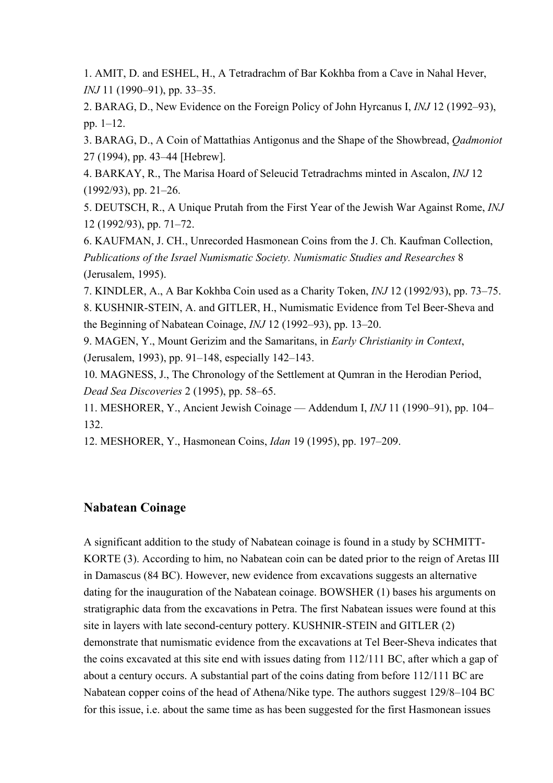1. AMIT, D. and ESHEL, H., A Tetradrachm of Bar Kokhba from a Cave in Nahal Hever, *INJ* 11 (1990–91), pp. 33–35.

2. BARAG, D., New Evidence on the Foreign Policy of John Hyrcanus I, *INJ* 12 (1992–93), pp. 1–12.

3. BARAG, D., A Coin of Mattathias Antigonus and the Shape of the Showbread, *Qadmoniot* 27 (1994), pp. 43–44 [Hebrew].

4. BARKAY, R., The Marisa Hoard of Seleucid Tetradrachms minted in Ascalon, *INJ* 12 (1992/93), pp. 21–26.

5. DEUTSCH, R., A Unique Prutah from the First Year of the Jewish War Against Rome, *INJ* 12 (1992/93), pp. 71–72.

6. KAUFMAN, J. CH., Unrecorded Hasmonean Coins from the J. Ch. Kaufman Collection, *Publications of the Israel Numismatic Society. Numismatic Studies and Researches* 8 (Jerusalem, 1995).

7. KINDLER, A., A Bar Kokhba Coin used as a Charity Token, *INJ* 12 (1992/93), pp. 73–75.

8. KUSHNIR-STEIN, A. and GITLER, H., Numismatic Evidence from Tel Beer-Sheva and the Beginning of Nabatean Coinage, *INJ* 12 (1992–93), pp. 13–20.

9. MAGEN, Y., Mount Gerizim and the Samaritans, in *Early Christianity in Context*, (Jerusalem, 1993), pp. 91–148, especially 142–143.

10. MAGNESS, J., The Chronology of the Settlement at Qumran in the Herodian Period, *Dead Sea Discoveries* 2 (1995), pp. 58–65.

11. MESHORER, Y., Ancient Jewish Coinage — Addendum I, *INJ* 11 (1990–91), pp. 104– 132.

12. MESHORER, Y., Hasmonean Coins, *Idan* 19 (1995), pp. 197–209.

# **Nabatean Coinage**

A significant addition to the study of Nabatean coinage is found in a study by SCHMITT-KORTE (3). According to him, no Nabatean coin can be dated prior to the reign of Aretas III in Damascus (84 BC). However, new evidence from excavations suggests an alternative dating for the inauguration of the Nabatean coinage. BOWSHER (1) bases his arguments on stratigraphic data from the excavations in Petra. The first Nabatean issues were found at this site in layers with late second-century pottery. KUSHNIR-STEIN and GITLER (2) demonstrate that numismatic evidence from the excavations at Tel Beer-Sheva indicates that the coins excavated at this site end with issues dating from 112/111 BC, after which a gap of about a century occurs. A substantial part of the coins dating from before 112/111 BC are Nabatean copper coins of the head of Athena/Nike type. The authors suggest 129/8–104 BC for this issue, i.e. about the same time as has been suggested for the first Hasmonean issues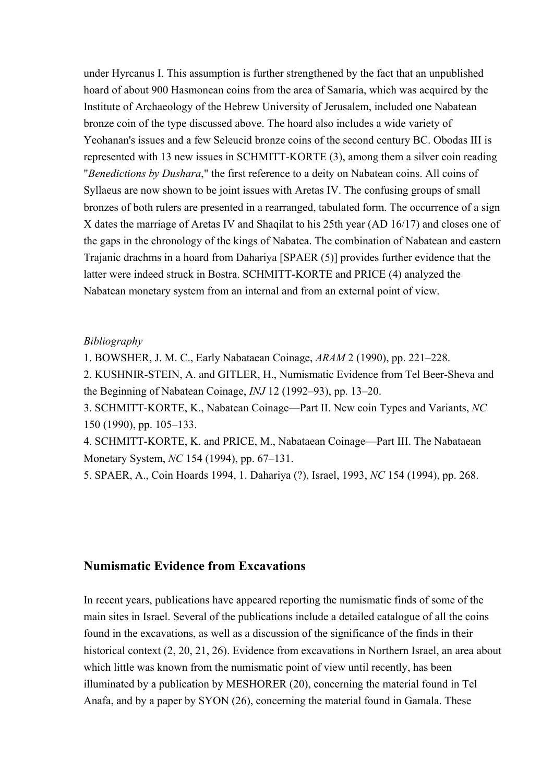under Hyrcanus I. This assumption is further strengthened by the fact that an unpublished hoard of about 900 Hasmonean coins from the area of Samaria, which was acquired by the Institute of Archaeology of the Hebrew University of Jerusalem, included one Nabatean bronze coin of the type discussed above. The hoard also includes a wide variety of Yeohanan's issues and a few Seleucid bronze coins of the second century BC. Obodas III is represented with 13 new issues in SCHMITT-KORTE (3), among them a silver coin reading "*Benedictions by Dushara*," the first reference to a deity on Nabatean coins. All coins of Syllaeus are now shown to be joint issues with Aretas IV. The confusing groups of small bronzes of both rulers are presented in a rearranged, tabulated form. The occurrence of a sign X dates the marriage of Aretas IV and Shaqilat to his 25th year (AD 16/17) and closes one of the gaps in the chronology of the kings of Nabatea. The combination of Nabatean and eastern Trajanic drachms in a hoard from Dahariya [SPAER (5)] provides further evidence that the latter were indeed struck in Bostra. SCHMITT-KORTE and PRICE (4) analyzed the Nabatean monetary system from an internal and from an external point of view.

#### *Bibliography*

1. BOWSHER, J. M. C., Early Nabataean Coinage, *ARAM* 2 (1990), pp. 221–228.

2. KUSHNIR-STEIN, A. and GITLER, H., Numismatic Evidence from Tel Beer-Sheva and the Beginning of Nabatean Coinage, *INJ* 12 (1992–93), pp. 13–20.

3. SCHMITT-KORTE, K., Nabatean Coinage—Part II. New coin Types and Variants, *NC* 150 (1990), pp. 105–133.

4. SCHMITT-KORTE, K. and PRICE, M., Nabataean Coinage—Part III. The Nabataean Monetary System, *NC* 154 (1994), pp. 67–131.

5. SPAER, A., Coin Hoards 1994, 1. Dahariya (?), Israel, 1993, *NC* 154 (1994), pp. 268.

## **Numismatic Evidence from Excavations**

In recent years, publications have appeared reporting the numismatic finds of some of the main sites in Israel. Several of the publications include a detailed catalogue of all the coins found in the excavations, as well as a discussion of the significance of the finds in their historical context (2, 20, 21, 26). Evidence from excavations in Northern Israel, an area about which little was known from the numismatic point of view until recently, has been illuminated by a publication by MESHORER (20), concerning the material found in Tel Anafa, and by a paper by SYON (26), concerning the material found in Gamala. These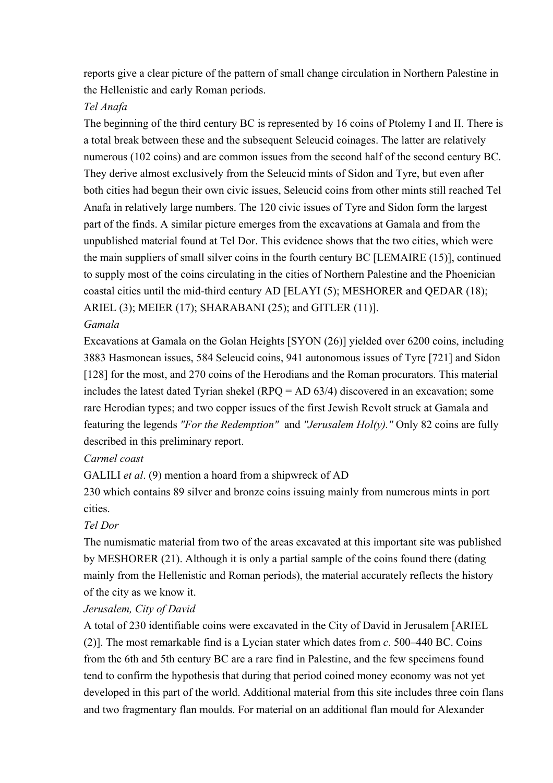reports give a clear picture of the pattern of small change circulation in Northern Palestine in the Hellenistic and early Roman periods.

## *Tel Anafa*

The beginning of the third century BC is represented by 16 coins of Ptolemy I and II. There is a total break between these and the subsequent Seleucid coinages. The latter are relatively numerous (102 coins) and are common issues from the second half of the second century BC. They derive almost exclusively from the Seleucid mints of Sidon and Tyre, but even after both cities had begun their own civic issues, Seleucid coins from other mints still reached Tel Anafa in relatively large numbers. The 120 civic issues of Tyre and Sidon form the largest part of the finds. A similar picture emerges from the excavations at Gamala and from the unpublished material found at Tel Dor. This evidence shows that the two cities, which were the main suppliers of small silver coins in the fourth century BC [LEMAIRE (15)], continued to supply most of the coins circulating in the cities of Northern Palestine and the Phoenician coastal cities until the mid-third century AD [ELAYI (5); MESHORER and QEDAR (18); ARIEL (3); MEIER (17); SHARABANI (25); and GITLER (11)].

## *Gamala*

Excavations at Gamala on the Golan Heights [SYON (26)] yielded over 6200 coins, including 3883 Hasmonean issues, 584 Seleucid coins, 941 autonomous issues of Tyre [721] and Sidon [128] for the most, and 270 coins of the Herodians and the Roman procurators. This material includes the latest dated Tyrian shekel (RPQ = AD 63/4) discovered in an excavation; some rare Herodian types; and two copper issues of the first Jewish Revolt struck at Gamala and featuring the legends *"For the Redemption"* and *"Jerusalem Hol(y)."* Only 82 coins are fully described in this preliminary report.

## *Carmel coast*

GALILI *et al*. (9) mention a hoard from a shipwreck of AD

230 which contains 89 silver and bronze coins issuing mainly from numerous mints in port cities.

## *Tel Dor*

The numismatic material from two of the areas excavated at this important site was published by MESHORER (21). Although it is only a partial sample of the coins found there (dating mainly from the Hellenistic and Roman periods), the material accurately reflects the history of the city as we know it.

## *Jerusalem, City of David*

A total of 230 identifiable coins were excavated in the City of David in Jerusalem [ARIEL (2)]. The most remarkable find is a Lycian stater which dates from *c*. 500–440 BC. Coins from the 6th and 5th century BC are a rare find in Palestine, and the few specimens found tend to confirm the hypothesis that during that period coined money economy was not yet developed in this part of the world. Additional material from this site includes three coin flans and two fragmentary flan moulds. For material on an additional flan mould for Alexander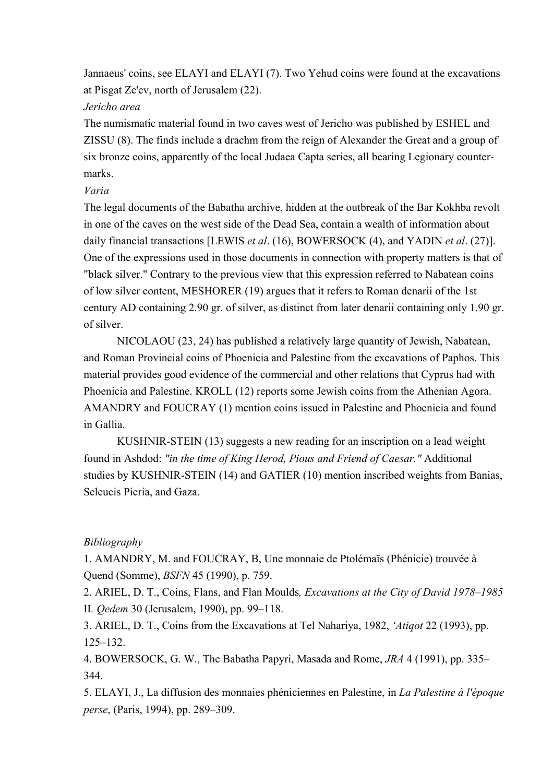Jannaeus' coins, see ELAYI and ELAYI (7). Two Yehud coins were found at the excavations at Pisgat Ze'ev, north of Jerusalem (22).

## *Jericho area*

The numismatic material found in two caves west of Jericho was published by ESHEL and ZISSU (8). The finds include a drachm from the reign of Alexander the Great and a group of six bronze coins, apparently of the local Judaea Capta series, all bearing Legionary countermarks.

## *Varia*

The legal documents of the Babatha archive, hidden at the outbreak of the Bar Kokhba revolt in one of the caves on the west side of the Dead Sea, contain a wealth of information about daily financial transactions [LEWIS *et al*. (16), BOWERSOCK (4), and YADIN *et al*. (27)]. One of the expressions used in those documents in connection with property matters is that of "black silver." Contrary to the previous view that this expression referred to Nabatean coins of low silver content, MESHORER (19) argues that it refers to Roman denarii of the 1st century AD containing 2.90 gr. of silver, as distinct from later denarii containing only 1.90 gr. of silver.

 NICOLAOU (23, 24) has published a relatively large quantity of Jewish, Nabatean, and Roman Provincial coins of Phoenicia and Palestine from the excavations of Paphos. This material provides good evidence of the commercial and other relations that Cyprus had with Phoenicia and Palestine. KROLL (12) reports some Jewish coins from the Athenian Agora. AMANDRY and FOUCRAY (1) mention coins issued in Palestine and Phoenicia and found in Gallia.

 KUSHNIR-STEIN (13) suggests a new reading for an inscription on a lead weight found in Ashdod: *"in the time of King Herod, Pious and Friend of Caesar."* Additional studies by KUSHNIR-STEIN (14) and GATIER (10) mention inscribed weights from Banias, Seleucis Pieria, and Gaza.

## *Bibliography*

1. AMANDRY, M. and FOUCRAY, B, Une monnaie de Ptolémaïs (Phénicie) trouvée à Quend (Somme), *BSFN* 45 (1990), p. 759.

2. ARIEL, D. T., Coins, Flans, and Flan Moulds*, Excavations at the City of David 1978–1985*  II*. Qedem* 30 (Jerusalem, 1990), pp. 99–118.

3. ARIEL, D. T., Coins from the Excavations at Tel Nahariya, 1982, *'Atiqot* 22 (1993), pp. 125–132.

4. BOWERSOCK, G. W., The Babatha Papyri, Masada and Rome, *JRA* 4 (1991), pp. 335– 344.

5. ELAYI, J., La diffusion des monnaies phéniciennes en Palestine, in *La Palestine à l'époque perse*, (Paris, 1994), pp. 289–309.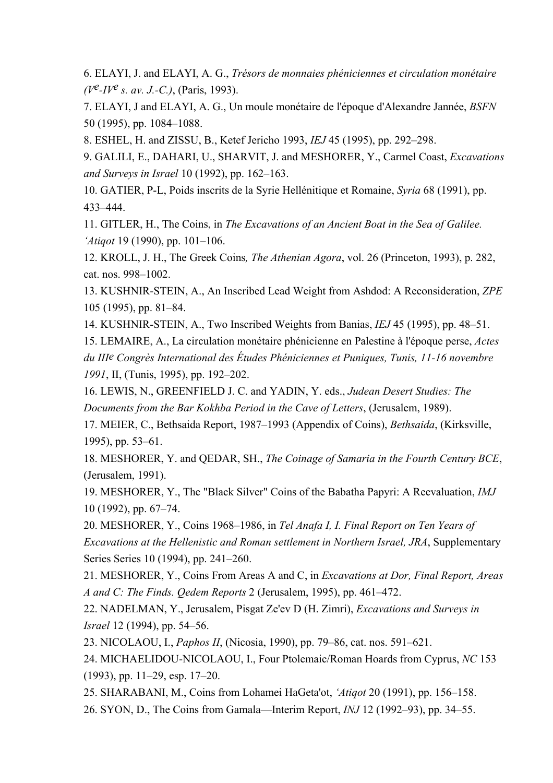6. ELAYI, J. and ELAYI, A. G., *Trésors de monnaies phéniciennes et circulation monétaire (Ve-IVe s. av. J.-C.)*, (Paris, 1993).

7. ELAYI, J and ELAYI, A. G., Un moule monétaire de l'époque d'Alexandre Jannée, *BSFN* 50 (1995), pp. 1084–1088.

8. ESHEL, H. and ZISSU, B., Ketef Jericho 1993, *IEJ* 45 (1995), pp. 292–298.

9. GALILI, E., DAHARI, U., SHARVIT, J. and MESHORER, Y., Carmel Coast, *Excavations and Surveys in Israel* 10 (1992), pp. 162–163.

10. GATIER, P-L, Poids inscrits de la Syrie Hellénitique et Romaine, *Syria* 68 (1991), pp. 433–444.

11. GITLER, H., The Coins, in *The Excavations of an Ancient Boat in the Sea of Galilee. 'Atiqot* 19 (1990), pp. 101–106.

12. KROLL, J. H., The Greek Coins*, The Athenian Agora*, vol. 26 (Princeton, 1993), p. 282, cat. nos. 998–1002.

13. KUSHNIR-STEIN, A., An Inscribed Lead Weight from Ashdod: A Reconsideration, *ZPE* 105 (1995), pp. 81–84.

14. KUSHNIR-STEIN, A., Two Inscribed Weights from Banias, *IEJ* 45 (1995), pp. 48–51.

15. LEMAIRE, A., La circulation monétaire phénicienne en Palestine à l'époque perse, *Actes du IIIe Congrès International des Études Phéniciennes et Puniques, Tunis, 11-16 novembre 1991*, II, (Tunis, 1995), pp. 192–202.

16. LEWIS, N., GREENFIELD J. C. and YADIN, Y. eds., *Judean Desert Studies: The Documents from the Bar Kokhba Period in the Cave of Letters*, (Jerusalem, 1989).

17. MEIER, C., Bethsaida Report, 1987–1993 (Appendix of Coins), *Bethsaida*, (Kirksville, 1995), pp. 53–61.

18. MESHORER, Y. and QEDAR, SH., *The Coinage of Samaria in the Fourth Century BCE*, (Jerusalem, 1991).

19. MESHORER, Y., The "Black Silver" Coins of the Babatha Papyri: A Reevaluation, *IMJ* 10 (1992), pp. 67–74.

20. MESHORER, Y., Coins 1968–1986, in *Tel Anafa I, I. Final Report on Ten Years of Excavations at the Hellenistic and Roman settlement in Northern Israel, JRA*, Supplementary Series Series 10 (1994), pp. 241–260.

21. MESHORER, Y., Coins From Areas A and C, in *Excavations at Dor, Final Report, Areas A and C: The Finds. Qedem Reports* 2 (Jerusalem, 1995), pp. 461–472.

22. NADELMAN, Y., Jerusalem, Pisgat Ze'ev D (H. Zimri), *Excavations and Surveys in Israel* 12 (1994), pp. 54–56.

23. NICOLAOU, I., *Paphos II*, (Nicosia, 1990), pp. 79–86, cat. nos. 591–621.

24. MICHAELIDOU-NICOLAOU, I., Four Ptolemaic/Roman Hoards from Cyprus, *NC* 153 (1993), pp. 11–29, esp. 17–20.

25. SHARABANI, M., Coins from Lohamei HaGeta'ot, *'Atiqot* 20 (1991), pp. 156–158.

26. SYON, D., The Coins from Gamala—Interim Report, *INJ* 12 (1992–93), pp. 34–55.